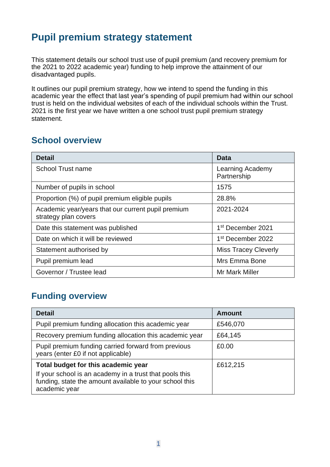# **Pupil premium strategy statement**

This statement details our school trust use of pupil premium (and recovery premium for the 2021 to 2022 academic year) funding to help improve the attainment of our disadvantaged pupils.

It outlines our pupil premium strategy, how we intend to spend the funding in this academic year the effect that last year's spending of pupil premium had within our school trust is held on the individual websites of each of the individual schools within the Trust. 2021 is the first year we have written a one school trust pupil premium strategy statement.

### **School overview**

| <b>Detail</b>                                                              | Data                            |
|----------------------------------------------------------------------------|---------------------------------|
| <b>School Trust name</b>                                                   | Learning Academy<br>Partnership |
| Number of pupils in school                                                 | 1575                            |
| Proportion (%) of pupil premium eligible pupils                            | 28.8%                           |
| Academic year/years that our current pupil premium<br>strategy plan covers | 2021-2024                       |
| Date this statement was published                                          | 1 <sup>st</sup> December 2021   |
| Date on which it will be reviewed                                          | 1 <sup>st</sup> December 2022   |
| Statement authorised by                                                    | <b>Miss Tracey Cleverly</b>     |
| Pupil premium lead                                                         | Mrs Emma Bone                   |
| Governor / Trustee lead                                                    | <b>Mr Mark Miller</b>           |

## **Funding overview**

| <b>Detail</b>                                                                                                                                                              | <b>Amount</b> |
|----------------------------------------------------------------------------------------------------------------------------------------------------------------------------|---------------|
| Pupil premium funding allocation this academic year                                                                                                                        | £546,070      |
| Recovery premium funding allocation this academic year                                                                                                                     | £64,145       |
| Pupil premium funding carried forward from previous<br>years (enter £0 if not applicable)                                                                                  | £0.00         |
| Total budget for this academic year<br>If your school is an academy in a trust that pools this<br>funding, state the amount available to your school this<br>academic year | £612,215      |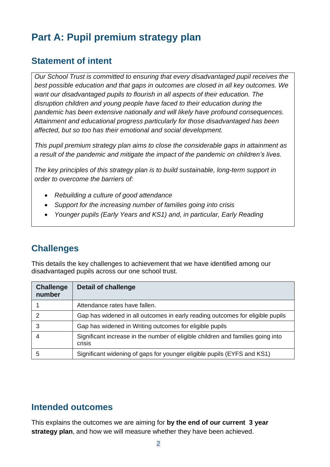# **Part A: Pupil premium strategy plan**

### **Statement of intent**

*Our School Trust is committed to ensuring that every disadvantaged pupil receives the best possible education and that gaps in outcomes are closed in all key outcomes. We want our disadvantaged pupils to flourish in all aspects of their education. The disruption children and young people have faced to their education during the pandemic has been extensive nationally and will likely have profound consequences. Attainment and educational progress particularly for those disadvantaged has been affected, but so too has their emotional and social development.*

*This pupil premium strategy plan aims to close the considerable gaps in attainment as a result of the pandemic and mitigate the impact of the pandemic on children's lives.*

*The key principles of this strategy plan is to build sustainable, long-term support in order to overcome the barriers of:*

- *Rebuilding a culture of good attendance*
- *Support for the increasing number of families going into crisis*
- *Younger pupils (Early Years and KS1) and, in particular, Early Reading*

## **Challenges**

This details the key challenges to achievement that we have identified among our disadvantaged pupils across our one school trust.

| <b>Challenge</b><br>number | <b>Detail of challenge</b>                                                                |
|----------------------------|-------------------------------------------------------------------------------------------|
|                            | Attendance rates have fallen.                                                             |
| 2                          | Gap has widened in all outcomes in early reading outcomes for eligible pupils             |
|                            | Gap has widened in Writing outcomes for eligible pupils                                   |
|                            | Significant increase in the number of eligible children and families going into<br>crisis |
|                            | Significant widening of gaps for younger eligible pupils (EYFS and KS1)                   |

#### **Intended outcomes**

This explains the outcomes we are aiming for **by the end of our current 3 year strategy plan**, and how we will measure whether they have been achieved.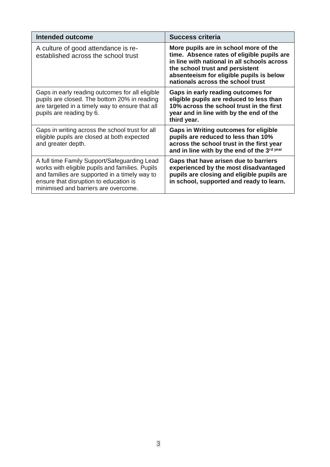| Intended outcome                                                                                                                                                                                                                   | <b>Success criteria</b>                                                                                                                                                                                                                                |
|------------------------------------------------------------------------------------------------------------------------------------------------------------------------------------------------------------------------------------|--------------------------------------------------------------------------------------------------------------------------------------------------------------------------------------------------------------------------------------------------------|
| A culture of good attendance is re-<br>established across the school trust                                                                                                                                                         | More pupils are in school more of the<br>time. Absence rates of eligible pupils are<br>in line with national in all schools across<br>the school trust and persistent<br>absenteeism for eligible pupils is below<br>nationals across the school trust |
| Gaps in early reading outcomes for all eligible<br>pupils are closed. The bottom 20% in reading<br>are targeted in a timely way to ensure that all<br>pupils are reading by 6.                                                     | Gaps in early reading outcomes for<br>eligible pupils are reduced to less than<br>10% across the school trust in the first<br>year and in line with by the end of the<br>third year.                                                                   |
| Gaps in writing across the school trust for all<br>eligible pupils are closed at both expected<br>and greater depth.                                                                                                               | <b>Gaps in Writing outcomes for eligible</b><br>pupils are reduced to less than 10%<br>across the school trust in the first year<br>and in line with by the end of the 3rd year                                                                        |
| A full time Family Support/Safeguarding Lead<br>works with eligible pupils and families. Pupils<br>and families are supported in a timely way to<br>ensure that disruption to education is<br>minimised and barriers are overcome. | Gaps that have arisen due to barriers<br>experienced by the most disadvantaged<br>pupils are closing and eligible pupils are<br>in school, supported and ready to learn.                                                                               |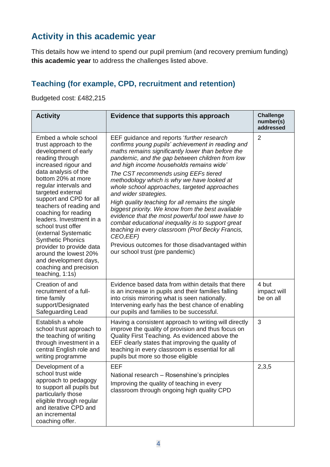## **Activity in this academic year**

This details how we intend to spend our pupil premium (and recovery premium funding) **this academic year** to address the challenges listed above.

### **Teaching (for example, CPD, recruitment and retention)**

Budgeted cost: £482,215

| <b>Activity</b>                                                                                                                                                                                                                                                                                                                                                                                                                                                                                                             | Evidence that supports this approach                                                                                                                                                                                                                                                                                                                                                                                                                                                                                                                                                                                                                                                                                                                                                         | <b>Challenge</b><br>number(s)<br>addressed |
|-----------------------------------------------------------------------------------------------------------------------------------------------------------------------------------------------------------------------------------------------------------------------------------------------------------------------------------------------------------------------------------------------------------------------------------------------------------------------------------------------------------------------------|----------------------------------------------------------------------------------------------------------------------------------------------------------------------------------------------------------------------------------------------------------------------------------------------------------------------------------------------------------------------------------------------------------------------------------------------------------------------------------------------------------------------------------------------------------------------------------------------------------------------------------------------------------------------------------------------------------------------------------------------------------------------------------------------|--------------------------------------------|
| Embed a whole school<br>trust approach to the<br>development of early<br>reading through<br>increased rigour and<br>data analysis of the<br>bottom 20% at more<br>regular intervals and<br>targeted external<br>support and CPD for all<br>teachers of reading and<br>coaching for reading<br>leaders. Investment in a<br>school trust offer<br>(external Systematic<br><b>Synthetic Phonics</b><br>provider to provide data<br>around the lowest 20%<br>and development days,<br>coaching and precision<br>teaching, 1:1s) | EEF guidance and reports 'further research<br>confirms young pupils' achievement in reading and<br>maths remains significantly lower than before the<br>pandemic, and the gap between children from low<br>and high income households remains wide'<br>The CST recommends using EEFs tiered<br>methodology which is why we have looked at<br>whole school approaches, targeted approaches<br>and wider strategies.<br>High quality teaching for all remains the single<br>biggest priority. We know from the best available<br>evidence that the most powerful tool wwe have to<br>combat educational inequality is to support great<br>teaching in every classroom (Prof Becky Francis,<br>CEO, EEF)<br>Previous outcomes for those disadvantaged within<br>our school trust (pre pandemic) | $\overline{2}$                             |
| Creation of and<br>recruitment of a full-<br>time family<br>support/Designated<br>Safeguarding Lead                                                                                                                                                                                                                                                                                                                                                                                                                         | Evidence based data from within details that there<br>is an increase in pupils and their families falling<br>into crisis mirroring what is seen nationally.<br>Intervening early has the best chance of enabling<br>our pupils and families to be successful.                                                                                                                                                                                                                                                                                                                                                                                                                                                                                                                                | 4 but<br>impact will<br>be on all          |
| Establish a whole<br>school trust approach to<br>the teaching of writing<br>through investment in a<br>central English role and<br>writing programme                                                                                                                                                                                                                                                                                                                                                                        | Having a consistent approach to writing will directly<br>improve the quality of provision and thus focus on<br>Quality First Teaching. As evidenced above the<br>EEF clearly states that improving the quality of<br>teaching in every classroom is essential for all<br>pupils but more so those eligible                                                                                                                                                                                                                                                                                                                                                                                                                                                                                   | 3                                          |
| Development of a<br>school trust wide<br>approach to pedagogy<br>to support all pupils but<br>particularly those<br>eligible through regular<br>and iterative CPD and<br>an incremental<br>coaching offer.                                                                                                                                                                                                                                                                                                                  | EEF<br>National research - Rosenshine's principles<br>Improving the quality of teaching in every<br>classroom through ongoing high quality CPD                                                                                                                                                                                                                                                                                                                                                                                                                                                                                                                                                                                                                                               | 2,3,5                                      |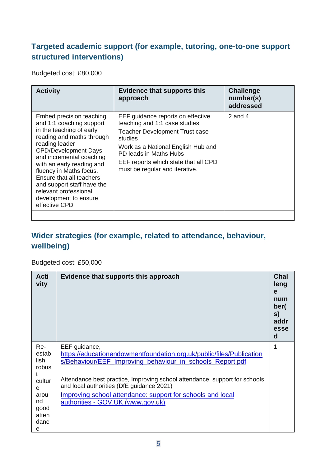### **Targeted academic support (for example, tutoring, one-to-one support structured interventions)**

Budgeted cost: £80,000

| <b>Activity</b>                                                                                                                                                                                                                                                                                                                                                                 | <b>Evidence that supports this</b><br>approach                                                                                                                                                                                                                   | <b>Challenge</b><br>number(s)<br>addressed |
|---------------------------------------------------------------------------------------------------------------------------------------------------------------------------------------------------------------------------------------------------------------------------------------------------------------------------------------------------------------------------------|------------------------------------------------------------------------------------------------------------------------------------------------------------------------------------------------------------------------------------------------------------------|--------------------------------------------|
| Embed precision teaching<br>and 1:1 coaching support<br>in the teaching of early<br>reading and maths through<br>reading leader<br><b>CPD/Development Days</b><br>and incremental coaching<br>with an early reading and<br>fluency in Maths focus.<br>Ensure that all teachers<br>and support staff have the<br>relevant professional<br>development to ensure<br>effective CPD | EEF guidance reports on effective<br>teaching and 1:1 case studies<br><b>Teacher Development Trust case</b><br>studies<br>Work as a National English Hub and<br>PD leads in Maths Hubs<br>EEF reports which state that all CPD<br>must be regular and iterative. | 2 and 4                                    |
|                                                                                                                                                                                                                                                                                                                                                                                 |                                                                                                                                                                                                                                                                  |                                            |

### **Wider strategies (for example, related to attendance, behaviour, wellbeing)**

Budgeted cost: £50,000

| <b>Acti</b><br>vity                                                                 | Evidence that supports this approach                                                                                                                                                                                                                                                                                                                                             | <b>Chal</b><br>leng<br>e<br>num<br>ber(<br>S)<br>addr<br>esse<br>d |
|-------------------------------------------------------------------------------------|----------------------------------------------------------------------------------------------------------------------------------------------------------------------------------------------------------------------------------------------------------------------------------------------------------------------------------------------------------------------------------|--------------------------------------------------------------------|
| Re-<br>estab<br>lish<br>robus<br>cultur<br>e<br>arou<br>nd<br>good<br>atten<br>danc | EEF guidance,<br>https://educationendowmentfoundation.org.uk/public/files/Publication<br>s/Behaviour/EEF_Improving_behaviour_in_schools_Report.pdf<br>Attendance best practice, Improving school attendance: support for schools<br>and local authorities (DfE guidance 2021)<br>Improving school attendance: support for schools and local<br>authorities - GOV.UK (www.gov.uk) | 1                                                                  |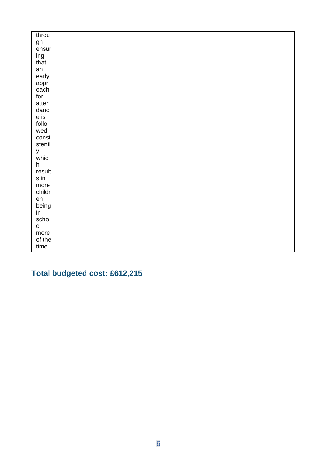| throu         |  |
|---------------|--|
| gh            |  |
| ensur         |  |
| ing           |  |
| that          |  |
| an            |  |
| early         |  |
| appr          |  |
| oach          |  |
| for           |  |
| atten         |  |
| danc          |  |
| e is<br>follo |  |
| wed           |  |
| consi         |  |
| stentl        |  |
| У             |  |
| whic          |  |
| h             |  |
| result        |  |
| sin           |  |
| more          |  |
| childr        |  |
| en            |  |
| being         |  |
| in            |  |
| scho          |  |
| ol            |  |
| more          |  |
| of the        |  |
| time.         |  |

# **Total budgeted cost: £612,215**